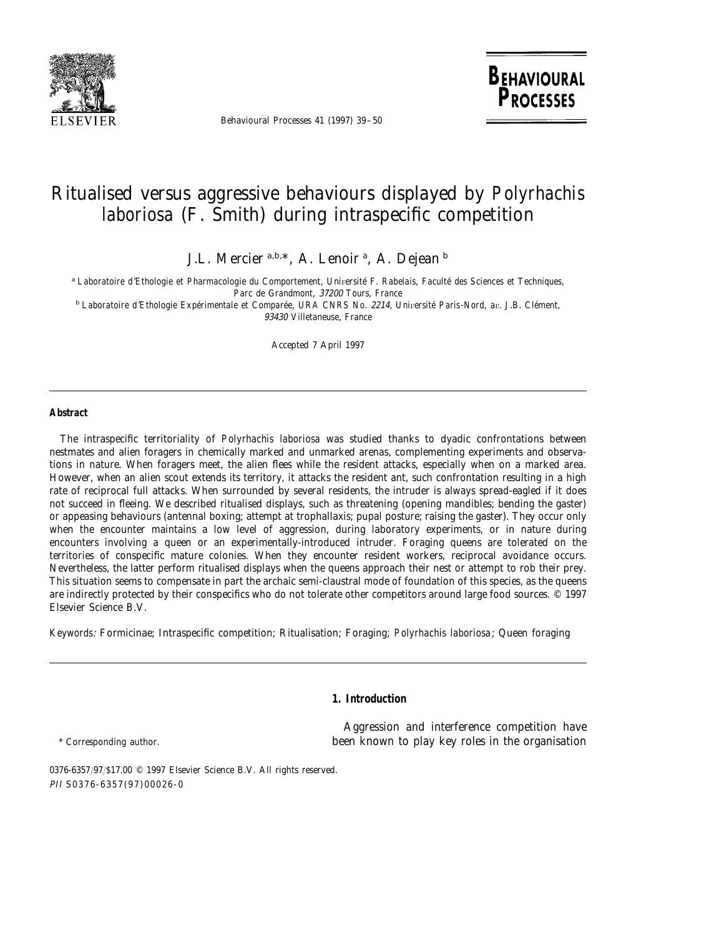

Behavioural Processes 41 (1997) 39–50

**BEHAVIOURAL PROCESSES** 

# Ritualised versus aggressive behaviours displayed by *Polyrhachis laboriosa* (F. Smith) during intraspecific competition

J.L. Mercier <sup>a,b,\*</sup>, A. Lenoir <sup>a</sup>, A. Dejean <sup>b</sup>

<sup>a</sup> Laboratoire d'Ethologie et Pharmacologie du Comportement, Université F. Rabelais, Faculté des Sciences et Techniques, *Parc de Grandmont*, 37200 *Tours*, *France*

<sup>b</sup> *Laboratoire d*'*Ethologie Expe´rimentale et Compare´e*, *URA CNRS No*. <sup>2214</sup>, *Uni*6*ersite´ Paris*-*Nord*, *a*6. *J*.*B*. *Cle´ment*, 93430 *Villetaneuse*, *France*

Accepted 7 April 1997

#### **Abstract**

The intraspecific territoriality of *Polyrhachis laboriosa* was studied thanks to dyadic confrontations between nestmates and alien foragers in chemically marked and unmarked arenas, complementing experiments and observations in nature. When foragers meet, the alien flees while the resident attacks, especially when on a marked area. However, when an alien scout extends its territory, it attacks the resident ant, such confrontation resulting in a high rate of reciprocal full attacks. When surrounded by several residents, the intruder is always spread-eagled if it does not succeed in fleeing. We described ritualised displays, such as threatening (opening mandibles; bending the gaster) or appeasing behaviours (antennal boxing; attempt at trophallaxis; pupal posture; raising the gaster). They occur only when the encounter maintains a low level of aggression, during laboratory experiments, or in nature during encounters involving a queen or an experimentally-introduced intruder. Foraging queens are tolerated on the territories of conspecific mature colonies. When they encounter resident workers, reciprocal avoidance occurs. Nevertheless, the latter perform ritualised displays when the queens approach their nest or attempt to rob their prey. This situation seems to compensate in part the archaic semi-claustral mode of foundation of this species, as the queens are indirectly protected by their conspecifics who do not tolerate other competitors around large food sources. © 1997 Elsevier Science B.V.

*Keywords*: Formicinae; Intraspecific competition; Ritualisation; Foraging; *Polyrhachis laboriosa*; Queen foraging

#### **1. Introduction**

Aggression and interference competition have \* Corresponding author. been known to play key roles in the organisation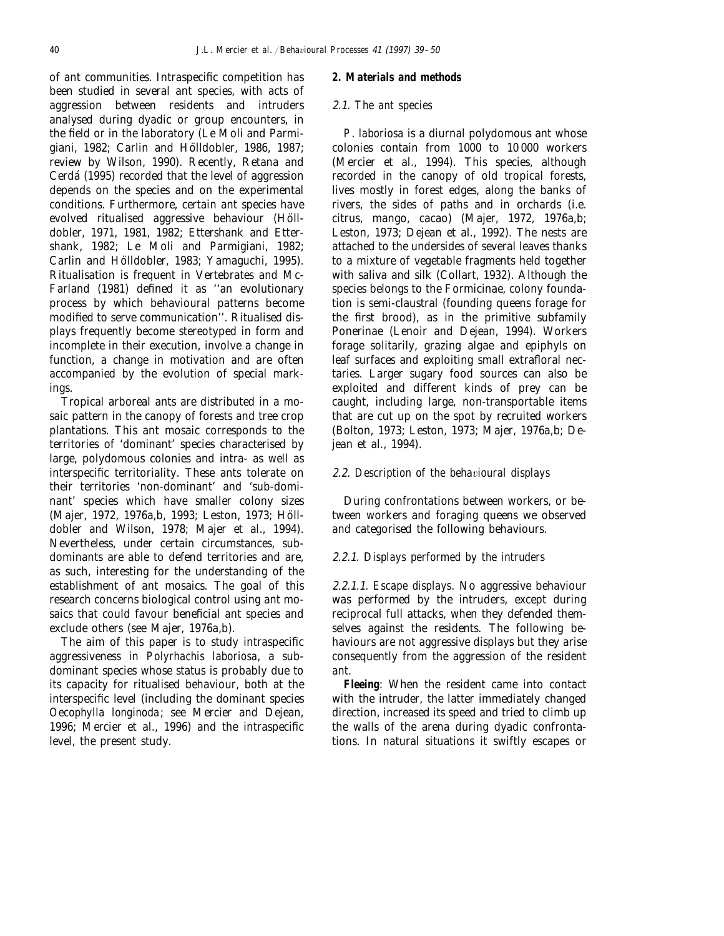of ant communities. Intraspecific competition has been studied in several ant species, with acts of aggression between residents and intruders analysed during dyadic or group encounters, in the field or in the laboratory (Le Moli and Parmigiani, 1982; Carlin and Hölldobler, 1986, 1987; review by Wilson, 1990). Recently, Retana and Cerda´ (1995) recorded that the level of aggression depends on the species and on the experimental conditions. Furthermore, certain ant species have evolved ritualised aggressive behaviour (Hölldobler, 1971, 1981, 1982; Ettershank and Ettershank, 1982; Le Moli and Parmigiani, 1982; Carlin and Hölldobler, 1983; Yamaguchi, 1995). Ritualisation is frequent in Vertebrates and Mc-Farland (1981) defined it as ''an evolutionary process by which behavioural patterns become modified to serve communication''. Ritualised displays frequently become stereotyped in form and incomplete in their execution, involve a change in function, a change in motivation and are often accompanied by the evolution of special markings.

Tropical arboreal ants are distributed in a mosaic pattern in the canopy of forests and tree crop plantations. This ant mosaic corresponds to the territories of 'dominant' species characterised by large, polydomous colonies and intra- as well as interspecific territoriality. These ants tolerate on their territories 'non-dominant' and 'sub-dominant' species which have smaller colony sizes (Majer, 1972, 1976a,b, 1993; Leston, 1973; Hölldobler and Wilson, 1978; Majer et al., 1994). Nevertheless, under certain circumstances, subdominants are able to defend territories and are, as such, interesting for the understanding of the establishment of ant mosaics. The goal of this research concerns biological control using ant mosaics that could favour beneficial ant species and exclude others (see Majer, 1976a,b).

The aim of this paper is to study intraspecific aggressiveness in *Polyrhachis laboriosa*, a subdominant species whose status is probably due to its capacity for ritualised behaviour, both at the interspecific level (including the dominant species *Oecophylla longinoda*; see Mercier and Dejean, 1996; Mercier et al., 1996) and the intraspecific level, the present study.

#### **2. Materials and methods**

## 2.1. *The ant species*

*P*. *laboriosa* is a diurnal polydomous ant whose colonies contain from 1000 to 10 000 workers (Mercier et al., 1994). This species, although recorded in the canopy of old tropical forests, lives mostly in forest edges, along the banks of rivers, the sides of paths and in orchards (i.e. citrus, mango, cacao) (Majer, 1972, 1976a,b; Leston, 1973; Dejean et al., 1992). The nests are attached to the undersides of several leaves thanks to a mixture of vegetable fragments held together with saliva and silk (Collart, 1932). Although the species belongs to the Formicinae, colony foundation is semi-claustral (founding queens forage for the first brood), as in the primitive subfamily Ponerinae (Lenoir and Dejean, 1994). Workers forage solitarily, grazing algae and epiphyls on leaf surfaces and exploiting small extrafloral nectaries. Larger sugary food sources can also be exploited and different kinds of prey can be caught, including large, non-transportable items that are cut up on the spot by recruited workers (Bolton, 1973; Leston, 1973; Majer, 1976a,b; Dejean et al., 1994).

# 2.2. Description of the behavioural displays

During confrontations between workers, or between workers and foraging queens we observed and categorised the following behaviours.

# 2.2.1. *Displays performed by the intruders*

2.2.1.1. *Escape displays*. No aggressive behaviour was performed by the intruders, except during reciprocal full attacks, when they defended themselves against the residents. The following behaviours are not aggressive displays but they arise consequently from the aggression of the resident ant.

**Fleeing**: When the resident came into contact with the intruder, the latter immediately changed direction, increased its speed and tried to climb up the walls of the arena during dyadic confrontations. In natural situations it swiftly escapes or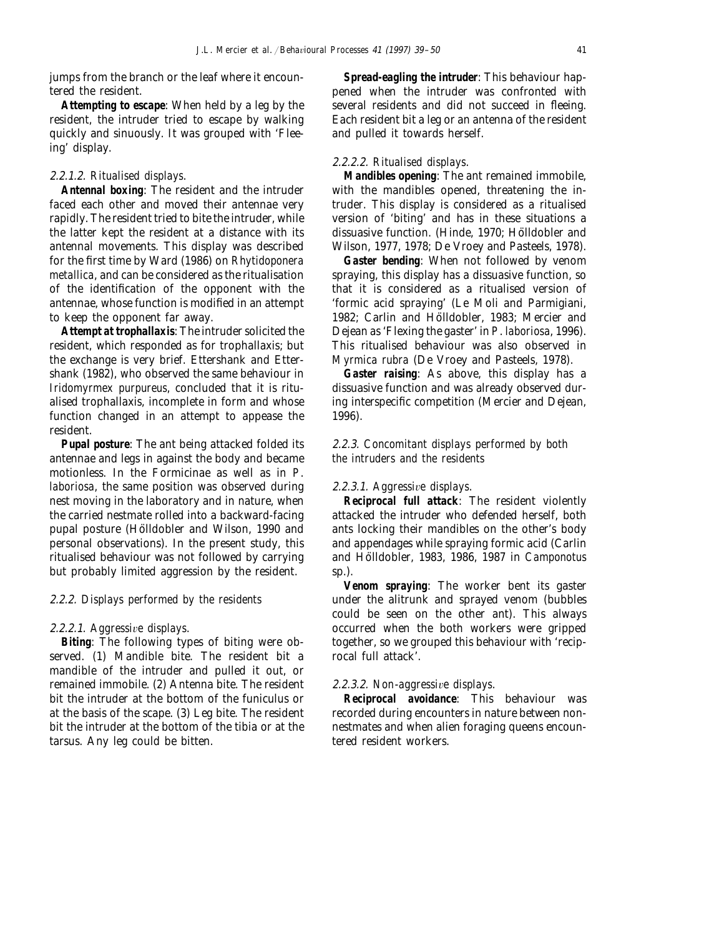jumps from the branch or the leaf where it encountered the resident.

**Attempting to escape**: When held by a leg by the resident, the intruder tried to escape by walking quickly and sinuously. It was grouped with 'Fleeing' display.

# 2.2.1.2. *Ritualised displays*.

**Antennal boxing**: The resident and the intruder faced each other and moved their antennae very rapidly. The resident tried to bite the intruder, while the latter kept the resident at a distance with its antennal movements. This display was described for the first time by Ward (1986) on *Rhytidoponera metallica*, and can be considered as the ritualisation of the identification of the opponent with the antennae, whose function is modified in an attempt to keep the opponent far away.

**Attempt at trophallaxis**: The intruder solicited the resident, which responded as for trophallaxis; but the exchange is very brief. Ettershank and Ettershank (1982), who observed the same behaviour in *Iridomyrmex purpureus*, concluded that it is ritualised trophallaxis, incomplete in form and whose function changed in an attempt to appease the resident.

**Pupal posture**: The ant being attacked folded its antennae and legs in against the body and became motionless. In the Formicinae as well as in *P*. *laboriosa*, the same position was observed during nest moving in the laboratory and in nature, when the carried nestmate rolled into a backward-facing pupal posture (Hölldobler and Wilson, 1990 and personal observations). In the present study, this ritualised behaviour was not followed by carrying but probably limited aggression by the resident.

# 2.2.2. *Displays performed by the residents*

## 2.2.2.1. Aggressive displays.

**Biting**: The following types of biting were observed. (1) Mandible bite. The resident bit a mandible of the intruder and pulled it out, or remained immobile. (2) Antenna bite. The resident bit the intruder at the bottom of the funiculus or at the basis of the scape. (3) Leg bite. The resident bit the intruder at the bottom of the tibia or at the tarsus. Any leg could be bitten.

**Spread-eagling the intruder**: This behaviour happened when the intruder was confronted with several residents and did not succeed in fleeing. Each resident bit a leg or an antenna of the resident and pulled it towards herself.

## 2.2.2.2. *Ritualised displays*.

**Mandibles opening**: The ant remained immobile, with the mandibles opened, threatening the intruder. This display is considered as a ritualised version of 'biting' and has in these situations a dissuasive function. (Hinde, 1970; Hölldobler and Wilson, 1977, 1978; De Vroey and Pasteels, 1978).

**Gaster bending**: When not followed by venom spraying, this display has a dissuasive function, so that it is considered as a ritualised version of 'formic acid spraying' (Le Moli and Parmigiani, 1982; Carlin and Hölldobler, 1983; Mercier and Dejean as 'Flexing the gaster' in *P*. *laboriosa*, 1996). This ritualised behaviour was also observed in *Myrmica rubra* (De Vroey and Pasteels, 1978).

**Gaster raising**: As above, this display has a dissuasive function and was already observed during interspecific competition (Mercier and Dejean, 1996).

2.2.3. *Concomitant displays performed by both the intruders and the residents*

## 2.2.3.1. *Aggressive displays.*

**Reciprocal full attack**: The resident violently attacked the intruder who defended herself, both ants locking their mandibles on the other's body and appendages while spraying formic acid (Carlin and Ho¨lldobler, 1983, 1986, 1987 in *Camponotus* sp.).

**Venom spraying**: The worker bent its gaster under the alitrunk and sprayed venom (bubbles could be seen on the other ant). This always occurred when the both workers were gripped together, so we grouped this behaviour with 'reciprocal full attack'.

## 2.2.3.2. *Non-aggressive displays.*

**Reciprocal avoidance**: This behaviour was recorded during encounters in nature between nonnestmates and when alien foraging queens encountered resident workers.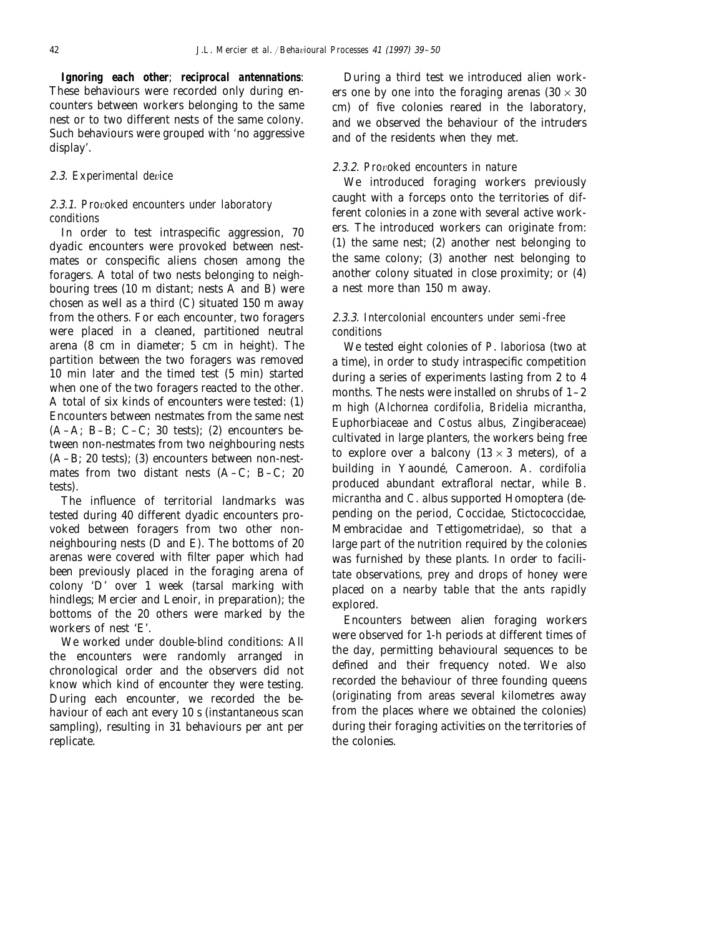**Ignoring each other**; **reciprocal antennations**: These behaviours were recorded only during encounters between workers belonging to the same nest or to two different nests of the same colony. Such behaviours were grouped with 'no aggressive display'.

## 2.3. *Experimental device*

# 2.3.1. Provoked encounters under laboratory *conditions*

In order to test intraspecific aggression, 70 dyadic encounters were provoked between nestmates or conspecific aliens chosen among the foragers. A total of two nests belonging to neighbouring trees (10 m distant; nests  $\overrightarrow{A}$  and B) were chosen as well as a third (C) situated 150 m away from the others. For each encounter, two foragers were placed in a cleaned, partitioned neutral arena (8 cm in diameter; 5 cm in height). The partition between the two foragers was removed 10 min later and the timed test (5 min) started when one of the two foragers reacted to the other. A total of six kinds of encounters were tested: (1) Encounters between nestmates from the same nest  $(A-A; B-B; C-C; 30 tests); (2) encounters be$ tween non-nestmates from two neighbouring nests (A–B; 20 tests); (3) encounters between non-nestmates from two distant nests (A–C; B–C; 20 tests).

The influence of territorial landmarks was tested during 40 different dyadic encounters provoked between foragers from two other nonneighbouring nests  $(D \text{ and } E)$ . The bottoms of 20 arenas were covered with filter paper which had been previously placed in the foraging arena of colony 'D' over 1 week (tarsal marking with hindlegs; Mercier and Lenoir, in preparation); the bottoms of the 20 others were marked by the workers of nest 'E'.

We worked under double-blind conditions: All the encounters were randomly arranged in chronological order and the observers did not know which kind of encounter they were testing. During each encounter, we recorded the behaviour of each ant every 10 s (instantaneous scan sampling), resulting in 31 behaviours per ant per replicate.

During a third test we introduced alien workers one by one into the foraging arenas ( $30 \times 30$ ) cm) of five colonies reared in the laboratory, and we observed the behaviour of the intruders and of the residents when they met.

# 2.3.2. Provoked encounters in nature

We introduced foraging workers previously caught with a forceps onto the territories of different colonies in a zone with several active workers. The introduced workers can originate from: (1) the same nest; (2) another nest belonging to the same colony; (3) another nest belonging to another colony situated in close proximity; or (4) a nest more than 150 m away.

# 2.3.3. *Intercolonial encounters under semi*-*free conditions*

We tested eight colonies of *P*. *laboriosa* (two at a time), in order to study intraspecific competition during a series of experiments lasting from 2 to 4 months. The nests were installed on shrubs of  $1-2$ m high (*Alchornea cordifolia*, *Bridelia micrantha*, Euphorbiaceae and *Costus albus*, Zingiberaceae) cultivated in large planters, the workers being free to explore over a balcony  $(13 \times 3$  meters), of a building in Yaounde´, Cameroon. *A*. *cordifolia* produced abundant extrafloral nectar, while *B*. *micrantha* and *C*. *albus* supported Homoptera (depending on the period, Coccidae, Stictococcidae, Membracidae and Tettigometridae), so that a large part of the nutrition required by the colonies was furnished by these plants. In order to facilitate observations, prey and drops of honey were placed on a nearby table that the ants rapidly explored.

Encounters between alien foraging workers were observed for 1-h periods at different times of the day, permitting behavioural sequences to be defined and their frequency noted. We also recorded the behaviour of three founding queens (originating from areas several kilometres away from the places where we obtained the colonies) during their foraging activities on the territories of the colonies.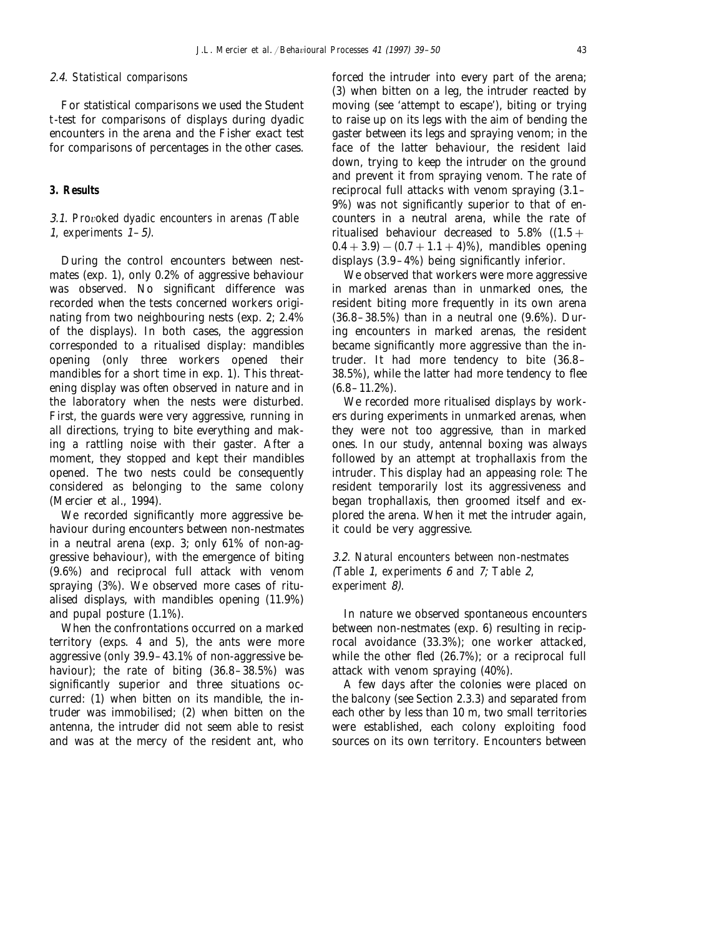#### 2.4. *Statistical comparisons*

For statistical comparisons we used the Student *t*-test for comparisons of displays during dyadic encounters in the arena and the Fisher exact test for comparisons of percentages in the other cases.

## **3. Results**

# 3.1. *Pro*6*oked dyadic encounters in arenas* (*Table* <sup>1</sup>, *experiments* <sup>1</sup>–5).

During the control encounters between nestmates (exp. 1), only 0.2% of aggressive behaviour was observed. No significant difference was recorded when the tests concerned workers originating from two neighbouring nests (exp. 2; 2.4% of the displays). In both cases, the aggression corresponded to a ritualised display: mandibles opening (only three workers opened their mandibles for a short time in exp. 1). This threatening display was often observed in nature and in the laboratory when the nests were disturbed. First, the guards were very aggressive, running in all directions, trying to bite everything and making a rattling noise with their gaster. After a moment, they stopped and kept their mandibles opened. The two nests could be consequently considered as belonging to the same colony (Mercier et al., 1994).

We recorded significantly more aggressive behaviour during encounters between non-nestmates in a neutral arena (exp. 3; only 61% of non-aggressive behaviour), with the emergence of biting (9.6%) and reciprocal full attack with venom spraying (3%). We observed more cases of ritualised displays, with mandibles opening (11.9%) and pupal posture (1.1%).

When the confrontations occurred on a marked territory (exps. 4 and 5), the ants were more aggressive (only 39.9–43.1% of non-aggressive behaviour); the rate of biting (36.8–38.5%) was significantly superior and three situations occurred: (1) when bitten on its mandible, the intruder was immobilised; (2) when bitten on the antenna, the intruder did not seem able to resist and was at the mercy of the resident ant, who forced the intruder into every part of the arena; (3) when bitten on a leg, the intruder reacted by moving (see 'attempt to escape'), biting or trying to raise up on its legs with the aim of bending the gaster between its legs and spraying venom; in the face of the latter behaviour, the resident laid down, trying to keep the intruder on the ground and prevent it from spraying venom. The rate of reciprocal full attacks with venom spraying (3.1– 9%) was not significantly superior to that of encounters in a neutral arena, while the rate of ritualised behaviour decreased to  $5.8\%$  ((1.5 +  $0.4 + 3.9$ ) − (0.7 + 1.1 + 4)%), mandibles opening displays (3.9–4%) being significantly inferior.

We observed that workers were more aggressive in marked arenas than in unmarked ones, the resident biting more frequently in its own arena (36.8–38.5%) than in a neutral one (9.6%). During encounters in marked arenas, the resident became significantly more aggressive than the intruder. It had more tendency to bite (36.8– 38.5%), while the latter had more tendency to flee  $(6.8-11.2\%)$ .

We recorded more ritualised displays by workers during experiments in unmarked arenas, when they were not too aggressive, than in marked ones. In our study, antennal boxing was always followed by an attempt at trophallaxis from the intruder. This display had an appeasing role: The resident temporarily lost its aggressiveness and began trophallaxis, then groomed itself and explored the arena. When it met the intruder again, it could be very aggressive.

# 3.2. *Natural encounters between non*-*nestmates* (*Table* <sup>1</sup>, *experiments* 6 *and* 7; *Table* 2, *experiment* 8).

In nature we observed spontaneous encounters between non-nestmates (exp. 6) resulting in reciprocal avoidance (33.3%); one worker attacked, while the other fled (26.7%); or a reciprocal full attack with venom spraying (40%).

A few days after the colonies were placed on the balcony (see Section 2.3.3) and separated from each other by less than 10 m, two small territories were established, each colony exploiting food sources on its own territory. Encounters between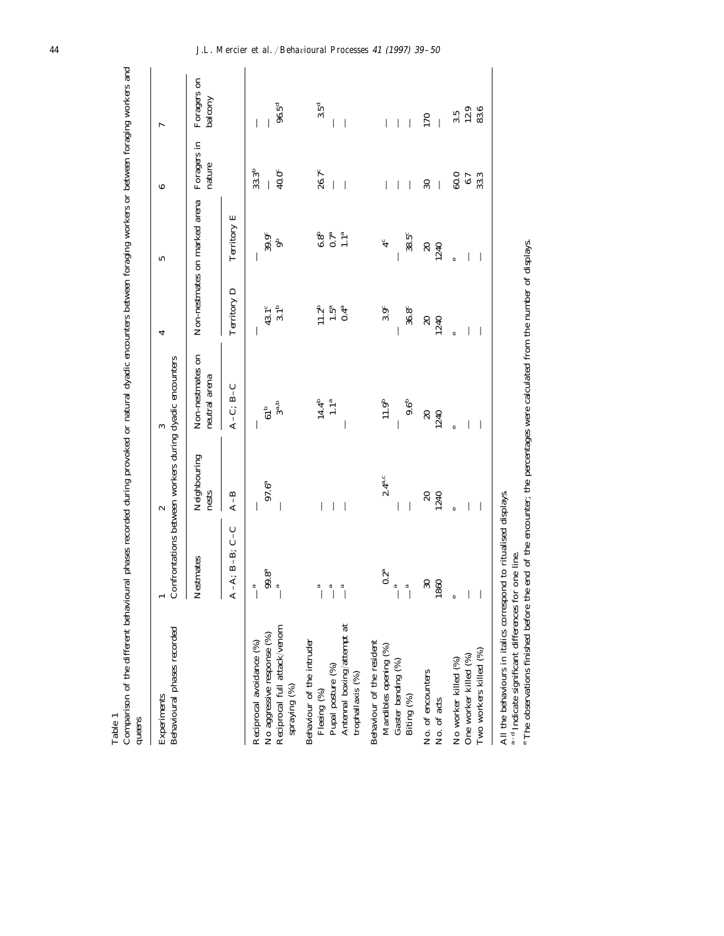| Experiments                                       |                            | $\sim$                | S                                                       |                   | S                                 | 6                     | $\overline{ }$         |
|---------------------------------------------------|----------------------------|-----------------------|---------------------------------------------------------|-------------------|-----------------------------------|-----------------------|------------------------|
| Behavioural phases recorded                       |                            |                       | Confrontations between workers during dyadic encounters |                   |                                   |                       |                        |
|                                                   | Nestmates                  | Neighbouring<br>nests | Non-nestmates on<br>neutral arena                       |                   | Non-nestmates on marked arena     | Foragers in<br>nature | Foragers on<br>balcony |
|                                                   | $C - C$<br>$A-A$ ; $B-B$ ; | $A - B$               | $A-C; B-C$                                              | Territory D       | Territory E                       |                       |                        |
| Reciprocal avoidance (%)                          | a                          | I                     | I                                                       | I                 |                                   | 33.3 <sup>b</sup>     |                        |
| No aggressive response (%)                        | $99.8^{\rm a}$             | $97.6^{a}$            | 61 <sup>b</sup>                                         | 43.1 <sup>c</sup> | 39.9 <sup>c</sup>                 |                       |                        |
| Reciprocal full attack/venom<br>spraying (%)      | $\mathfrak{a}$             |                       | $3^{a,b}$                                               | 3.1 <sup>b</sup>  |                                   | 40.0 <sup>c</sup>     | $96.5^{\rm d}$         |
| Behaviour of the intruder                         |                            |                       |                                                         |                   |                                   |                       |                        |
| Fleeing (%)                                       | d                          |                       | $14.4^{b}$                                              | 11.2 <sup>b</sup> | $\frac{6.8^{\rm b}}{0.7^{\rm a}}$ | $26.7^c$              | 3.5 <sup>d</sup>       |
| Pupal posture $(%)$<br>Antennal boxing/attempt at | $\tilde{a}$                |                       | 1.1 <sup>a</sup>                                        | $1.5^{\rm a}$     |                                   |                       |                        |
| trophallaxis (%)                                  | $\tilde{a}$                |                       |                                                         | $0.4^{\rm a}$     | 1.1 <sup>a</sup>                  |                       |                        |
| Behaviour of the resident                         |                            |                       |                                                         |                   |                                   |                       |                        |
| Mandibles opening (%)                             | $0.2^{\rm a}$              | $2.4^{a.c}$           | 11.9 <sup>b</sup>                                       | $3.9^{\circ}$     | $\ddot{4}$                        |                       |                        |
| Gaster bending (%)                                | $\overline{\mathbb{Q}}$    |                       |                                                         |                   |                                   |                       |                        |
| Biting (%)                                        | $\tilde{a}$                |                       | 9.6 <sup>b</sup>                                        | 36.8 <sup>c</sup> | $38.5^{\circ}$                    |                       |                        |
|                                                   | $\boldsymbol{\mathcal{S}}$ | $\Omega$              | $\overline{20}$                                         | $\overline{20}$   | $\overline{20}$                   | $30\,$                | 170                    |
| No. of encounters<br>No. of acts                  | 1860                       | 1240                  | 1240                                                    | 1240              | 1240                              |                       |                        |
| No worker killed (%)                              |                            | ¢                     | ¢                                                       | ¢                 |                                   | 60.0                  | $3.\overline{5}$       |
| One worker killed (%)                             |                            |                       |                                                         |                   |                                   | 6.7                   | 12.9                   |
| Two workers killed (%)                            |                            |                       |                                                         |                   |                                   | 33.3                  | 83.6                   |

All the behaviours in italics correspond to ritualised displays.

a–d Indicate significant differences for one line.

All the ventavoutis in Ranss corresponse to rivies the control of the percentages were calculated from the number of displays.<br><sup>a-d</sup> Indicate significant differences for one line.<br>\* The observations finished before the end The observations finished before the end of the encounter; the percentages were calculated from the number of displays.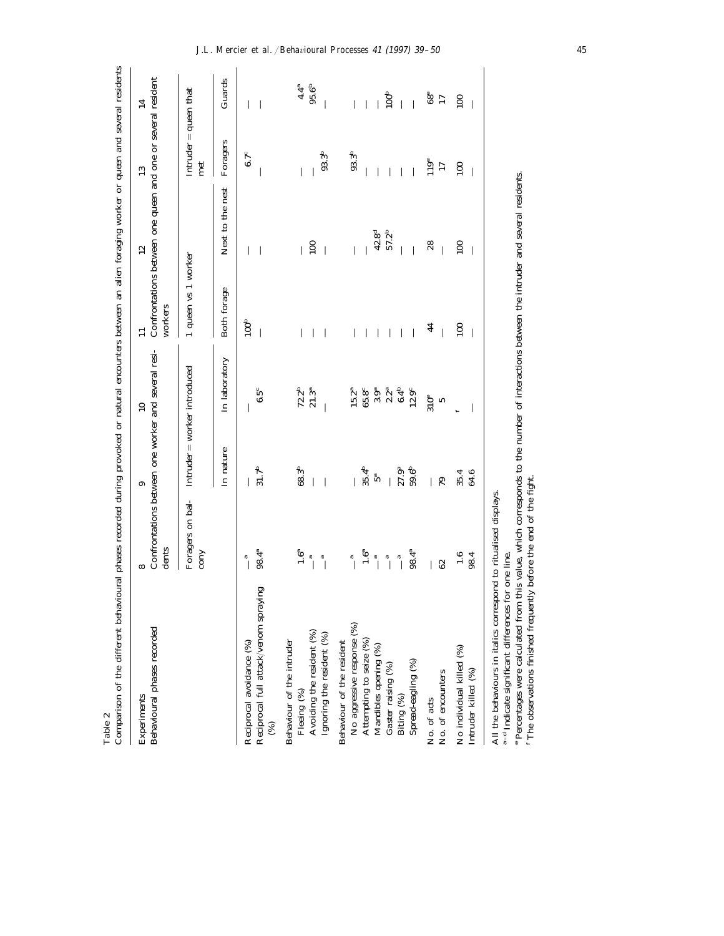| Comparison of the different behavioural phases recorded during provoked or natural encounters between an alien foraging worker or queen and several residents            |                                                                                             |                                                                   |                                                                                                                    |                                              |                                                                    |                                |                                |
|--------------------------------------------------------------------------------------------------------------------------------------------------------------------------|---------------------------------------------------------------------------------------------|-------------------------------------------------------------------|--------------------------------------------------------------------------------------------------------------------|----------------------------------------------|--------------------------------------------------------------------|--------------------------------|--------------------------------|
| Behavioural phases recorded<br>Experiments                                                                                                                               | dents                                                                                       | ာ                                                                 | Confrontations between one worker and several resi-<br>$\overline{10}$                                             | workers                                      | Confrontations between one queen and one or several resident<br>12 | 13                             | $\mathbf{14}$                  |
|                                                                                                                                                                          | Foragers on bal-<br><b>COTY</b>                                                             | $Intuder = worker introduced$                                     |                                                                                                                    | 1 queen vs 1 worker                          |                                                                    | $Intruder = queen that$<br>met |                                |
|                                                                                                                                                                          |                                                                                             | In nature                                                         | In laboratory                                                                                                      | Both forage                                  | Next to the nest                                                   | Foragers                       | Guards                         |
| Reciprocal full attack/venom spraying<br>Reciprocal avoidance (%)<br>$\otimes$                                                                                           | 98.4ª<br>$\tilde{a}$                                                                        | 31.7 <sup>b</sup>                                                 | $6.5^{\circ}$                                                                                                      | 100 <sup>b</sup><br>$\overline{\phantom{a}}$ | $\overline{\phantom{a}}$<br>I                                      | $6.7^{\circ}$                  |                                |
| Avoiding the resident (%)<br>Ignoring the resident $(\%)$<br>Behaviour of the intruder<br>Fleeing (%)                                                                    | $\ddot{6}$<br>$\begin{matrix} a \\ 1 \end{matrix}$<br>$\overline{a}$                        | 68.3 <sup>b</sup>                                                 | $72.2^b$<br>$21.3^{a}$                                                                                             |                                              | 100<br>L<br>$\overline{\phantom{a}}$                               | $93.3^{b}$                     | $4.4^{a}$<br>95.6 <sup>b</sup> |
| No aggressive response (%)<br>Attempting to seize $(\%)$ Mandibles opening $(\%)$<br>Behaviour of the resident<br>Spread-eagling (%)<br>Gaster raising (%)<br>Biting (%) | $98.4^{a}$<br>$1.6^a$<br>$\begin{matrix} a \\ c \end{matrix}$<br>$\tilde{a}$<br>$\tilde{a}$ | 35.4 <sup>b</sup><br>27.9 <sup>a</sup><br>59.6 <sup>b</sup><br>5а | $6.4^{\rm b}$<br>$15.2^{\mathrm{a}}$<br>$65.8^{\circ}$<br>3.9 <sup>a</sup><br>$2.2^{\mathrm{a}}$<br>$12.9^{\circ}$ | $\overline{\phantom{a}}$                     | 42.8 <sup>d</sup><br>57.2 <sup>b</sup><br>I                        | 93.3 <sup>b</sup>              | 100 <sup>b</sup><br>$\bigg $   |
| No. of acts<br>No. of encounters                                                                                                                                         | 29                                                                                          | $\overline{\phantom{a}}$<br>79                                    | 310 <sup>e</sup><br>LO                                                                                             | 44                                           | 28                                                                 | 119 <sup>e</sup><br>17         | $68^{\circ}$<br>17             |
| No individual killed (%)<br>Intruder killed (%)                                                                                                                          | 1.6<br>98.4                                                                                 | 64.6<br>35.4                                                      |                                                                                                                    | 100<br>$\overline{\phantom{a}}$              | 100                                                                | 100<br>I                       | 100                            |
| All the hebaracure in italice correspond to ritualised displaye                                                                                                          |                                                                                             |                                                                   |                                                                                                                    |                                              |                                                                    |                                |                                |

Table 2

All the behaviours in italics correspond to ritualised displays.

All the behaviours in italics correspond to ritualised displays.  $^{\mathrm{a-d}}$  Indicate significant differences for one line. a–d Indicate significant differences for one line.

ef

 Percentages were calculated from this value, which corresponds to the number of interactions between the intruder and several residents. The observations finished frequently before the end of the fight.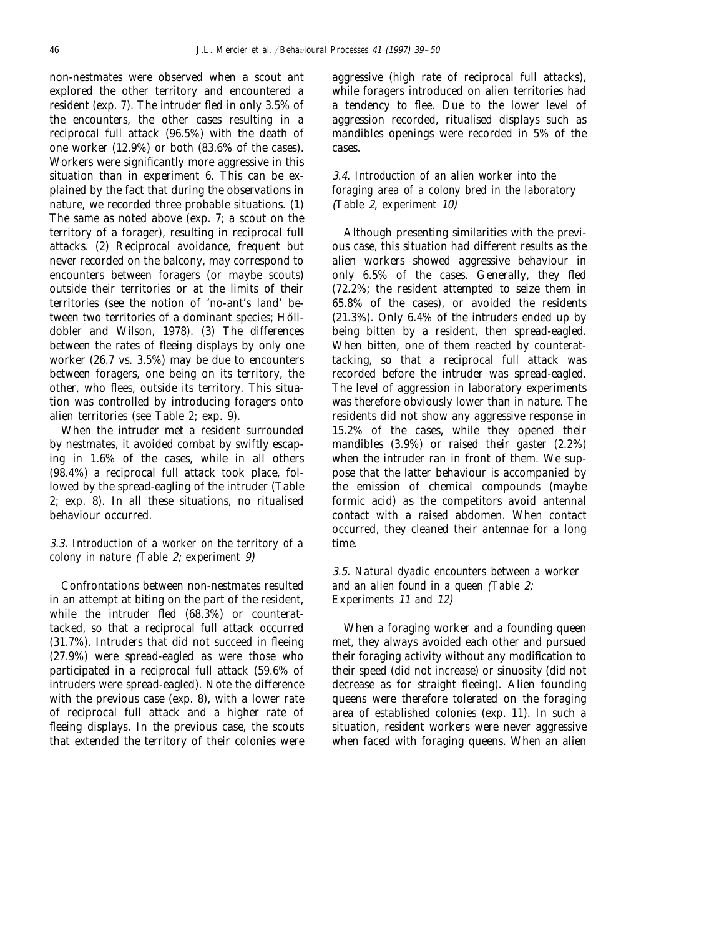non-nestmates were observed when a scout ant explored the other territory and encountered a resident (exp. 7). The intruder fled in only 3.5% of the encounters, the other cases resulting in a reciprocal full attack (96.5%) with the death of one worker (12.9%) or both (83.6% of the cases). Workers were significantly more aggressive in this situation than in experiment 6. This can be explained by the fact that during the observations in nature, we recorded three probable situations. (1) The same as noted above (exp. 7; a scout on the territory of a forager), resulting in reciprocal full attacks. (2) Reciprocal avoidance, frequent but never recorded on the balcony, may correspond to encounters between foragers (or maybe scouts) outside their territories or at the limits of their territories (see the notion of 'no-ant's land' between two territories of a dominant species; Hölldobler and Wilson, 1978). (3) The differences between the rates of fleeing displays by only one worker (26.7 vs. 3.5%) may be due to encounters between foragers, one being on its territory, the other, who flees, outside its territory. This situation was controlled by introducing foragers onto alien territories (see Table 2; exp. 9).

When the intruder met a resident surrounded by nestmates, it avoided combat by swiftly escaping in 1.6% of the cases, while in all others (98.4%) a reciprocal full attack took place, followed by the spread-eagling of the intruder (Table 2; exp. 8). In all these situations, no ritualised behaviour occurred.

# 3.3. *Introduction of a worker on the territory of a colony in nature* (*Table* 2; *experiment* 9)

Confrontations between non-nestmates resulted in an attempt at biting on the part of the resident, while the intruder fled (68.3%) or counterattacked, so that a reciprocal full attack occurred (31.7%). Intruders that did not succeed in fleeing (27.9%) were spread-eagled as were those who participated in a reciprocal full attack (59.6% of intruders were spread-eagled). Note the difference with the previous case (exp. 8), with a lower rate of reciprocal full attack and a higher rate of fleeing displays. In the previous case, the scouts that extended the territory of their colonies were aggressive (high rate of reciprocal full attacks), while foragers introduced on alien territories had a tendency to flee. Due to the lower level of aggression recorded, ritualised displays such as mandibles openings were recorded in 5% of the cases.

# 3.4. *Introduction of an alien worker into the foraging area of a colony bred in the laboratory* (*Table* 2, *experiment* 10)

Although presenting similarities with the previous case, this situation had different results as the alien workers showed aggressive behaviour in only 6.5% of the cases. Generally, they fled (72.2%; the resident attempted to seize them in 65.8% of the cases), or avoided the residents (21.3%). Only 6.4% of the intruders ended up by being bitten by a resident, then spread-eagled. When bitten, one of them reacted by counterattacking, so that a reciprocal full attack was recorded before the intruder was spread-eagled. The level of aggression in laboratory experiments was therefore obviously lower than in nature. The residents did not show any aggressive response in 15.2% of the cases, while they opened their mandibles (3.9%) or raised their gaster (2.2%) when the intruder ran in front of them. We suppose that the latter behaviour is accompanied by the emission of chemical compounds (maybe formic acid) as the competitors avoid antennal contact with a raised abdomen. When contact occurred, they cleaned their antennae for a long time.

# 3.5. *Natural dyadic encounters between a worker and an alien found in a queen* (*Table* 2; *Experiments* <sup>11</sup> *and* 12)

When a foraging worker and a founding queen met, they always avoided each other and pursued their foraging activity without any modification to their speed (did not increase) or sinuosity (did not decrease as for straight fleeing). Alien founding queens were therefore tolerated on the foraging area of established colonies (exp. 11). In such a situation, resident workers were never aggressive when faced with foraging queens. When an alien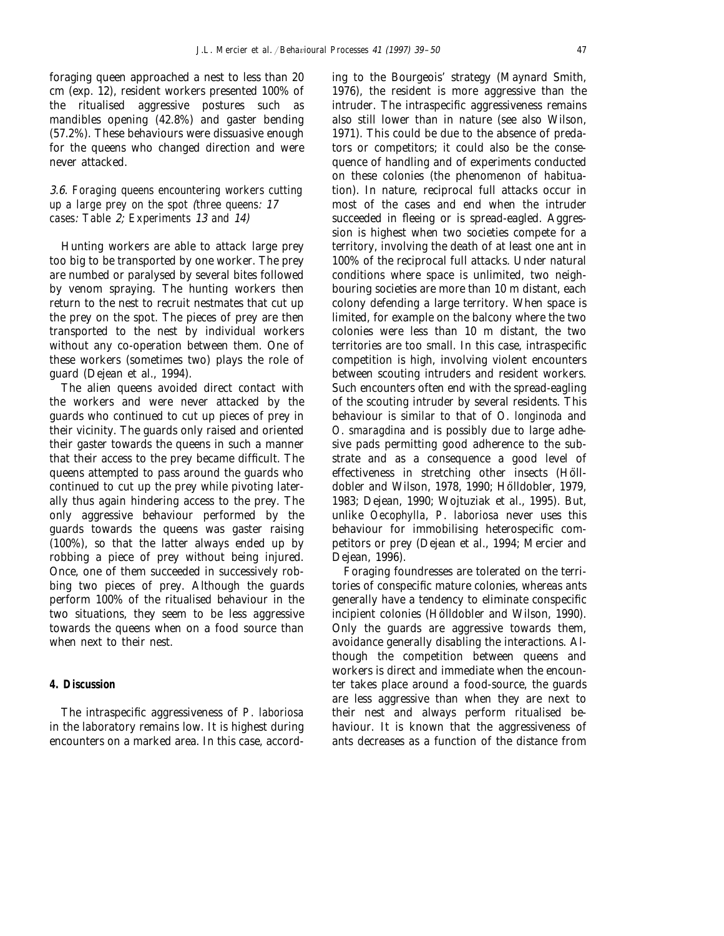foraging queen approached a nest to less than 20 cm (exp. 12), resident workers presented 100% of the ritualised aggressive postures such as mandibles opening (42.8%) and gaster bending (57.2%). These behaviours were dissuasive enough for the queens who changed direction and were never attacked.

3.6. *Foraging queens encountering workers cutting up a large prey on the spot* (*three queens*: 17 *cases*: *Table* 2; *Experiments* 13 *and* 14)

Hunting workers are able to attack large prey too big to be transported by one worker. The prey are numbed or paralysed by several bites followed by venom spraying. The hunting workers then return to the nest to recruit nestmates that cut up the prey on the spot. The pieces of prey are then transported to the nest by individual workers without any co-operation between them. One of these workers (sometimes two) plays the role of guard (Dejean et al., 1994).

The alien queens avoided direct contact with the workers and were never attacked by the guards who continued to cut up pieces of prey in their vicinity. The guards only raised and oriented their gaster towards the queens in such a manner that their access to the prey became difficult. The queens attempted to pass around the guards who continued to cut up the prey while pivoting laterally thus again hindering access to the prey. The only aggressive behaviour performed by the guards towards the queens was gaster raising (100%), so that the latter always ended up by robbing a piece of prey without being injured. Once, one of them succeeded in successively robbing two pieces of prey. Although the guards perform 100% of the ritualised behaviour in the two situations, they seem to be less aggressive towards the queens when on a food source than when next to their nest.

# **4. Discussion**

The intraspecific aggressiveness of *P*. *laboriosa* in the laboratory remains low. It is highest during encounters on a marked area. In this case, according to the Bourgeois' strategy (Maynard Smith, 1976), the resident is more aggressive than the intruder. The intraspecific aggressiveness remains also still lower than in nature (see also Wilson, 1971). This could be due to the absence of predators or competitors; it could also be the consequence of handling and of experiments conducted on these colonies (the phenomenon of habituation). In nature, reciprocal full attacks occur in most of the cases and end when the intruder succeeded in fleeing or is spread-eagled. Aggression is highest when two societies compete for a territory, involving the death of at least one ant in 100% of the reciprocal full attacks. Under natural conditions where space is unlimited, two neighbouring societies are more than 10 m distant, each colony defending a large territory. When space is limited, for example on the balcony where the two colonies were less than 10 m distant, the two territories are too small. In this case, intraspecific competition is high, involving violent encounters between scouting intruders and resident workers. Such encounters often end with the spread-eagling of the scouting intruder by several residents. This behaviour is similar to that of *O*. *longinoda* and *O*. *smaragdina* and is possibly due to large adhesive pads permitting good adherence to the substrate and as a consequence a good level of effectiveness in stretching other insects (Hölldobler and Wilson, 1978, 1990; Hölldobler, 1979, 1983; Dejean, 1990; Wojtuziak et al., 1995). But, unlike *Oecophylla*, *P*. *laboriosa* never uses this behaviour for immobilising heterospecific competitors or prey (Dejean et al., 1994; Mercier and Dejean, 1996).

Foraging foundresses are tolerated on the territories of conspecific mature colonies, whereas ants generally have a tendency to eliminate conspecific incipient colonies (Hölldobler and Wilson, 1990). Only the guards are aggressive towards them, avoidance generally disabling the interactions. Although the competition between queens and workers is direct and immediate when the encounter takes place around a food-source, the guards are less aggressive than when they are next to their nest and always perform ritualised behaviour. It is known that the aggressiveness of ants decreases as a function of the distance from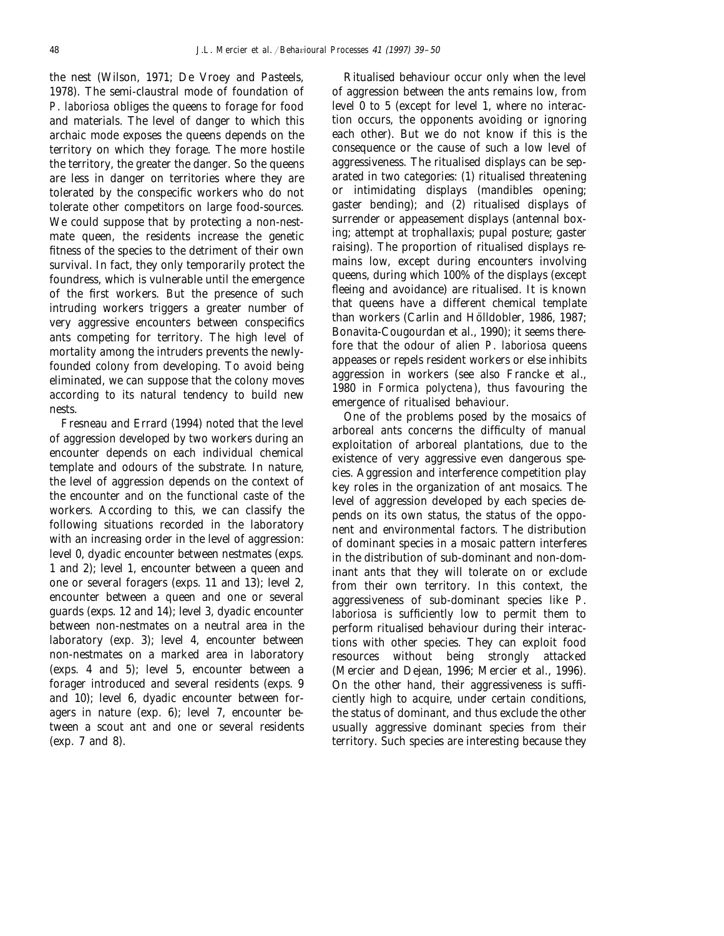the nest (Wilson, 1971; De Vroey and Pasteels, 1978). The semi-claustral mode of foundation of *P*. *laboriosa* obliges the queens to forage for food and materials. The level of danger to which this archaic mode exposes the queens depends on the territory on which they forage. The more hostile the territory, the greater the danger. So the queens are less in danger on territories where they are tolerated by the conspecific workers who do not tolerate other competitors on large food-sources. We could suppose that by protecting a non-nestmate queen, the residents increase the genetic fitness of the species to the detriment of their own survival. In fact, they only temporarily protect the foundress, which is vulnerable until the emergence of the first workers. But the presence of such intruding workers triggers a greater number of very aggressive encounters between conspecifics ants competing for territory. The high level of mortality among the intruders prevents the newlyfounded colony from developing. To avoid being eliminated, we can suppose that the colony moves according to its natural tendency to build new nests.

Fresneau and Errard (1994) noted that the level of aggression developed by two workers during an encounter depends on each individual chemical template and odours of the substrate. In nature, the level of aggression depends on the context of the encounter and on the functional caste of the workers. According to this, we can classify the following situations recorded in the laboratory with an increasing order in the level of aggression: level 0, dyadic encounter between nestmates (exps. 1 and 2); level 1, encounter between a queen and one or several foragers (exps. 11 and 13); level 2, encounter between a queen and one or several guards (exps. 12 and 14); level 3, dyadic encounter between non-nestmates on a neutral area in the laboratory (exp. 3); level 4, encounter between non-nestmates on a marked area in laboratory (exps. 4 and 5); level 5, encounter between a forager introduced and several residents (exps. 9 and 10); level 6, dyadic encounter between foragers in nature (exp. 6); level 7, encounter between a scout ant and one or several residents (exp. 7 and 8).

Ritualised behaviour occur only when the level of aggression between the ants remains low, from level  $\overline{0}$  to 5 (except for level 1, where no interaction occurs, the opponents avoiding or ignoring each other). But we do not know if this is the consequence or the cause of such a low level of aggressiveness. The ritualised displays can be separated in two categories: (1) ritualised threatening or intimidating displays (mandibles opening; gaster bending); and (2) ritualised displays of surrender or appeasement displays (antennal boxing; attempt at trophallaxis; pupal posture; gaster raising). The proportion of ritualised displays remains low, except during encounters involving queens, during which 100% of the displays (except fleeing and avoidance) are ritualised. It is known that queens have a different chemical template than workers (Carlin and Hölldobler, 1986, 1987; Bonavita-Cougourdan et al., 1990); it seems therefore that the odour of alien *P*. *laboriosa* queens appeases or repels resident workers or else inhibits aggression in workers (see also Francke et al., 1980 in *Formica polyctena*), thus favouring the emergence of ritualised behaviour.

One of the problems posed by the mosaics of arboreal ants concerns the difficulty of manual exploitation of arboreal plantations, due to the existence of very aggressive even dangerous species. Aggression and interference competition play key roles in the organization of ant mosaics. The level of aggression developed by each species depends on its own status, the status of the opponent and environmental factors. The distribution of dominant species in a mosaic pattern interferes in the distribution of sub-dominant and non-dominant ants that they will tolerate on or exclude from their own territory. In this context, the aggressiveness of sub-dominant species like *P*. *laboriosa* is sufficiently low to permit them to perform ritualised behaviour during their interactions with other species. They can exploit food resources without being strongly attacked (Mercier and Dejean, 1996; Mercier et al., 1996). On the other hand, their aggressiveness is sufficiently high to acquire, under certain conditions, the status of dominant, and thus exclude the other usually aggressive dominant species from their territory. Such species are interesting because they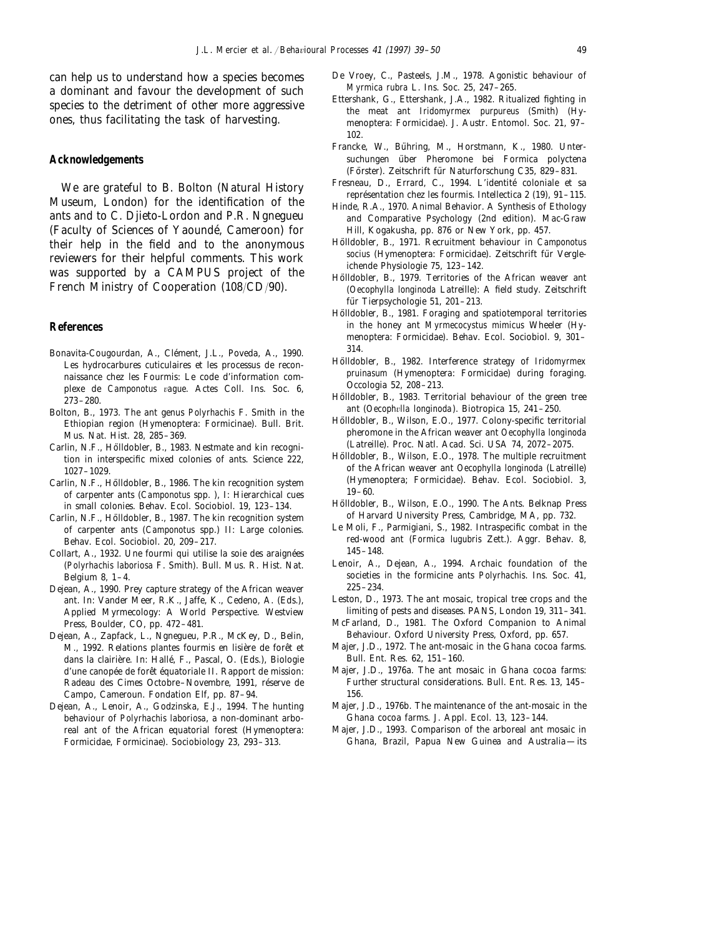can help us to understand how a species becomes a dominant and favour the development of such species to the detriment of other more aggressive ones, thus facilitating the task of harvesting.

#### **Acknowledgements**

We are grateful to B. Bolton (Natural History Museum, London) for the identification of the ants and to C. Djieto-Lordon and P.R. Ngnegueu (Faculty of Sciences of Yaounde´, Cameroon) for their help in the field and to the anonymous reviewers for their helpful comments. This work was supported by a CAMPUS project of the French Ministry of Cooperation (108/CD/90).

## **References**

- Bonavita-Cougourdan, A., Clément, J.L., Poveda, A., 1990. Les hydrocarbures cuticulaires et les processus de reconnaissance chez les Fourmis: Le code d'information complexe de *Camponotus vague*. Actes Coll. Ins. Soc. 6, 273–280.
- Bolton, B., 1973. The ant genus *Polyrhachis* F. Smith in the Ethiopian region (Hymenoptera: Formicinae). Bull. Brit. Mus. Nat. Hist. 28, 285–369.
- Carlin, N.F., Hölldobler, B., 1983. Nestmate and kin recognition in interspecific mixed colonies of ants. Science 222, 1027–1029.
- Carlin, N.F., Hölldobler, B., 1986. The kin recognition system of carpenter ants (*Camponotus* spp. ), I: Hierarchical cues in small colonies. Behav. Ecol. Sociobiol. 19, 123–134.
- Carlin, N.F., Hölldobler, B., 1987. The kin recognition system of carpenter ants (*Camponotus* spp.) II: Large colonies. Behav. Ecol. Sociobiol. 20, 209–217.
- Collart, A., 1932. Une fourmi qui utilise la soie des araignées (*Polyrhachis laboriosa* F. Smith). Bull. Mus. R. Hist. Nat. Belgium 8, 1–4.
- Dejean, A., 1990. Prey capture strategy of the African weaver ant. In: Vander Meer, R.K., Jaffe, K., Cedeno, A. (Eds.), Applied Myrmecology: A World Perspective. Westview Press, Boulder, CO, pp. 472–481.
- Dejean, A., Zapfack, L., Ngnegueu, P.R., McKey, D., Belin, M., 1992. Relations plantes fourmis en lisière de forêt et dans la clairière. In: Hallé, F., Pascal, O. (Eds.), Biologie d'une canopée de forêt équatoriale II. Rapport de mission: Radeau des Cimes Octobre-Novembre, 1991, réserve de Campo, Cameroun. Fondation Elf, pp. 87–94.
- Dejean, A., Lenoir, A., Godzinska, E.J., 1994. The hunting behaviour of *Polyrhachis laboriosa*, a non-dominant arboreal ant of the African equatorial forest (Hymenoptera: Formicidae, Formicinae). Sociobiology 23, 293–313.
- De Vroey, C., Pasteels, J.M., 1978. Agonistic behaviour of *Myrmica rubra* L. Ins. Soc. 25, 247–265.
- Ettershank, G., Ettershank, J.A., 1982. Ritualized fighting in the meat ant *Iridomyrmex purpureus* (Smith) (Hymenoptera: Formicidae). J. Austr. Entomol. Soc. 21, 97– 102.
- Francke, W., Bühring, M., Horstmann, K., 1980. Untersuchungen über Pheromone bei Formica polyctena (Förster). Zeitschrift für Naturforschung C35, 829-831.
- Fresneau, D., Errard, C., 1994. L'identité coloniale et sa représentation chez les fourmis. Intellectica 2 (19), 91-115.
- Hinde, R.A., 1970. Animal Behavior. A Synthesis of Ethology and Comparative Psychology (2nd edition). Mac-Graw Hill, Kogakusha, pp. 876 or New York, pp. 457.
- Hölldobler, B., 1971. Recruitment behaviour in *Camponotus* socius (Hymenoptera: Formicidae). Zeitschrift für Vergleichende Physiologie 75, 123–142.
- Hölldobler, B., 1979. Territories of the African weaver ant (*Oecophylla longinoda* Latreille): A field study. Zeitschrift für Tierpsychologie 51, 201-213.
- Hölldobler, B., 1981. Foraging and spatiotemporal territories in the honey ant *Myrmecocystus mimicus* Wheeler (Hymenoptera: Formicidae). Behav. Ecol. Sociobiol. 9, 301– 314.
- Hölldobler, B., 1982. Interference strategy of *Iridomyrmex pruinasum* (Hymenoptera: Formicidae) during foraging. Occologia 52, 208–213.
- Hölldobler, B., 1983. Territorial behaviour of the green tree ant (*Oecophvlla longinoda*). Biotropica 15, 241-250.
- Hölldobler, B., Wilson, E.O., 1977. Colony-specific territorial pheromone in the African weaver ant *Oecophylla longinoda* (Latreille). Proc. Natl. Acad. Sci. USA 74, 2072–2075.
- Hölldobler, B., Wilson, E.O., 1978. The multiple recruitment of the African weaver ant *Oecophylla longinoda* (Latreille) (Hymenoptera; Formicidae). Behav. Ecol. Sociobiol. 3, 19–60.
- Hölldobler, B., Wilson, E.O., 1990. The Ants. Belknap Press of Harvard University Press, Cambridge, MA, pp. 732.
- Le Moli, F., Parmigiani, S., 1982. Intraspecific combat in the red-wood ant (*Formica lugubris* Zett.). Aggr. Behav. 8, 145–148.
- Lenoir, A., Dejean, A., 1994. Archaic foundation of the societies in the formicine ants *Polyrhachis*. Ins. Soc. 41, 225–234.
- Leston, D., 1973. The ant mosaic, tropical tree crops and the limiting of pests and diseases. PANS, London 19, 311–341.
- McFarland, D., 1981. The Oxford Companion to Animal Behaviour. Oxford University Press, Oxford, pp. 657.
- Majer, J.D., 1972. The ant-mosaic in the Ghana cocoa farms. Bull. Ent. Res. 62, 151–160.
- Majer, J.D., 1976a. The ant mosaic in Ghana cocoa farms: Further structural considerations. Bull. Ent. Res. 13, 145– 156.
- Majer, J.D., 1976b. The maintenance of the ant-mosaic in the Ghana cocoa farms. J. Appl. Ecol. 13, 123–144.
- Majer, J.D., 1993. Comparison of the arboreal ant mosaic in Ghana, Brazil, Papua New Guinea and Australia—its